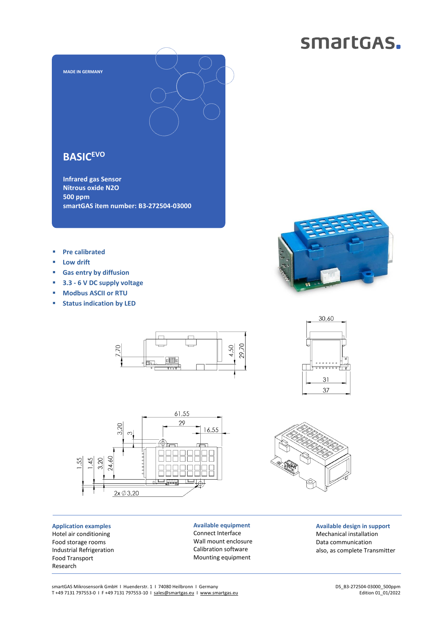## smartGAS.



## **BASICEVO**

**Infrared gas Sensor Nitrous oxide N2O 500 ppm smartGAS item number: B3-272504-03000**

- **Pre calibrated**
- **Low drift**
- **Gas entry by diffusion**
- **3.3 - 6 V DC supply voltage**
- **Modbus ASCII or RTU**
- **Status indication by LED**





**Application examples** Hotel air conditioning Food storage rooms Industrial Refrigeration Food Transport Research

**Available equipment** Connect Interface Wall mount enclosure Calibration software Mounting equipment



31 37



**Available design in support** Mechanical installation Data communication also, as complete Transmitter